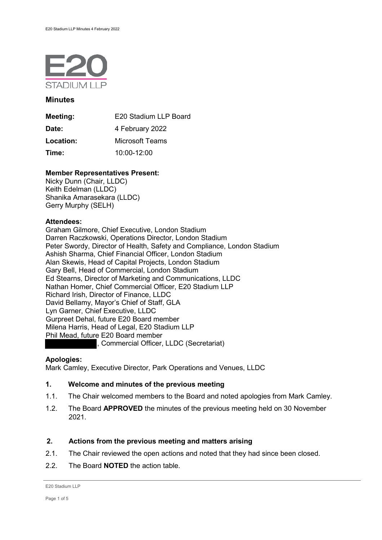

### **Minutes**

| Meeting:  | E20 Stadium LLP Board |
|-----------|-----------------------|
| Date:     | 4 February 2022       |
| Location: | Microsoft Teams       |
| Time:     | $10:00 - 12:00$       |

# **Member Representatives Present:**

Nicky Dunn (Chair, LLDC) Keith Edelman (LLDC) Shanika Amarasekara (LLDC) Gerry Murphy (SELH)

## **Attendees:**

Graham Gilmore, Chief Executive, London Stadium Darren Raczkowski, Operations Director, London Stadium Peter Swordy, Director of Health, Safety and Compliance, London Stadium Ashish Sharma, Chief Financial Officer, London Stadium Alan Skewis, Head of Capital Projects, London Stadium Gary Bell, Head of Commercial, London Stadium Ed Stearns, Director of Marketing and Communications, LLDC Nathan Homer, Chief Commercial Officer, E20 Stadium LLP Richard Irish, Director of Finance, LLDC David Bellamy, Mayor's Chief of Staff, GLA Lyn Garner, Chief Executive, LLDC Gurpreet Dehal, future E20 Board member Milena Harris, Head of Legal, E20 Stadium LLP Phil Mead, future E20 Board member , Commercial Officer, LLDC (Secretariat)

# **Apologies:**

Mark Camley, Executive Director, Park Operations and Venues, LLDC

# **1. Welcome and minutes of the previous meeting**

- 1.1. The Chair welcomed members to the Board and noted apologies from Mark Camley.
- 1.2. The Board **APPROVED** the minutes of the previous meeting held on 30 November 2021.

# **2. Actions from the previous meeting and matters arising**

- 2.1. The Chair reviewed the open actions and noted that they had since been closed.
- 2.2. The Board **NOTED** the action table.

```
E20 Stadium LLP
```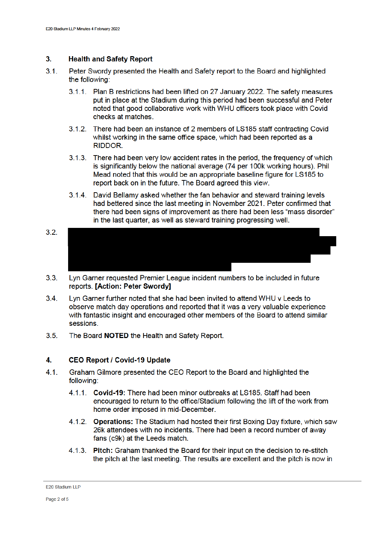### $3<sub>1</sub>$ **Health and Safety Report**

- $3.1.$ Peter Swordy presented the Health and Safety report to the Board and highlighted the following:
	- 3.1.1. Plan B restrictions had been lifted on 27 January 2022. The safety measures put in place at the Stadium during this period had been successful and Peter noted that good collaborative work with WHU officers took place with Covid checks at matches.
	- 3.1.2. There had been an instance of 2 members of LS185 staff contracting Covid whilst working in the same office space, which had been reported as a RIDDOR.
	- 3.1.3. There had been very low accident rates in the period, the frequency of which is significantly below the national average (74 per 100k working hours). Phil Mead noted that this would be an appropriate baseline figure for LS185 to report back on in the future. The Board agreed this view.
	- 3.1.4. David Bellamy asked whether the fan behavior and steward training levels had bettered since the last meeting in November 2021. Peter confirmed that there had been signs of improvement as there had been less "mass disorder" in the last quarter, as well as steward training progressing well.
- $3.2.$
- $3.3.$ Lyn Garner requested Premier League incident numbers to be included in future reports. [Action: Peter Swordy]
- $3.4.$ Lyn Garner further noted that she had been invited to attend WHU v Leeds to observe match day operations and reported that it was a very valuable experience with fantastic insight and encouraged other members of the Board to attend similar sessions.
- $3.5$ The Board NOTED the Health and Safety Report.

### 4. **CEO Report / Covid-19 Update**

- $4.1.$ Graham Gilmore presented the CEO Report to the Board and highlighted the following:
	- 4.1.1. Covid-19: There had been minor outbreaks at LS185. Staff had been encouraged to return to the office/Stadium following the lift of the work from home order imposed in mid-December.
	- 4.1.2. Operations: The Stadium had hosted their first Boxing Day fixture, which saw 26k attendees with no incidents. There had been a record number of away fans (c9k) at the Leeds match.
	- 4.1.3. Pitch: Graham thanked the Board for their input on the decision to re-stitch the pitch at the last meeting. The results are excellent and the pitch is now in

E20 Stadium LLP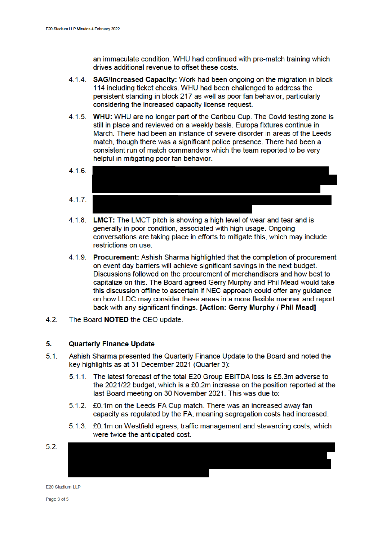an immaculate condition. WHU had continued with pre-match training which drives additional revenue to offset these costs.

- 4.1.4. SAG/Increased Capacity: Work had been ongoing on the migration in block 114 including ticket checks. WHU had been challenged to address the persistent standing in block 217 as well as poor fan behavior, particularly considering the increased capacity license request.
- 4.1.5. WHU: WHU are no longer part of the Caribou Cup. The Covid testing zone is still in place and reviewed on a weekly basis. Europa fixtures continue in March. There had been an instance of severe disorder in areas of the Leeds match, though there was a significant police presence. There had been a consistent run of match commanders which the team reported to be very helpful in mitigating poor fan behavior.
- $4.1.6.$  $4.1.7.$
- 4.1.8. **LMCT:** The LMCT pitch is showing a high level of wear and tear and is generally in poor condition, associated with high usage. Ongoing conversations are taking place in efforts to mitigate this, which may include restrictions on use.
- 4.1.9. Procurement: Ashish Sharma highlighted that the completion of procurement on event day barriers will achieve significant savings in the next budget. Discussions followed on the procurement of merchandisers and how best to capitalize on this. The Board agreed Gerry Murphy and Phil Mead would take this discussion offline to ascertain if NEC approach could offer any guidance on how LLDC may consider these areas in a more flexible manner and report back with any significant findings. [Action: Gerry Murphy / Phil Mead]
- $4.2.$ The Board NOTED the CEO update.

### $5.$ **Quarterly Finance Update**

- $5.1.$ Ashish Sharma presented the Quarterly Finance Update to the Board and noted the key highlights as at 31 December 2021 (Quarter 3):
	- 5.1.1. The latest forecast of the total E20 Group EBITDA loss is £5.3m adverse to the 2021/22 budget, which is a £0.2m increase on the position reported at the last Board meeting on 30 November 2021. This was due to:
	- 5.1.2. £0.1m on the Leeds FA Cup match. There was an increased away fan capacity as regulated by the FA, meaning segregation costs had increased.
	- 5.1.3. £0.1m on Westfield egress, traffic management and stewarding costs, which were twice the anticipated cost.



E20 Stadium LLP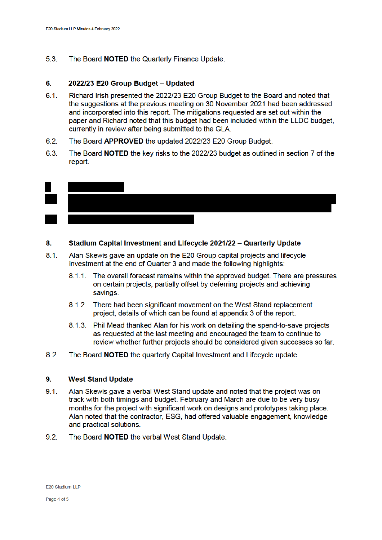$5.3.$ The Board NOTED the Quarterly Finance Update.

### 6. 2022/23 E20 Group Budget - Updated

- $6.1.$ Richard Irish presented the 2022/23 E20 Group Budget to the Board and noted that the suggestions at the previous meeting on 30 November 2021 had been addressed and incorporated into this report. The mitigations requested are set out within the paper and Richard noted that this budget had been included within the LLDC budget, currently in review after being submitted to the GLA.
- $6.2.$ The Board APPROVED the updated 2022/23 E20 Group Budget.
- 6.3 The Board NOTED the key risks to the 2022/23 budget as outlined in section 7 of the report.



### 8. Stadium Capital Investment and Lifecycle 2021/22 - Quarterly Update

- $8.1.$ Alan Skewis gave an update on the E20 Group capital projects and lifecycle investment at the end of Quarter 3 and made the following highlights:
	- 8.1.1. The overall forecast remains within the approved budget. There are pressures on certain projects, partially offset by deferring projects and achieving savings.
	- 8.1.2. There had been significant movement on the West Stand replacement project, details of which can be found at appendix 3 of the report.
	- 8.1.3. Phil Mead thanked Alan for his work on detailing the spend-to-save projects as requested at the last meeting and encouraged the team to continue to review whether further projects should be considered given successes so far.
- $8.2.$ The Board NOTED the quarterly Capital Investment and Lifecycle update.

#### $9.$ **West Stand Update**

- $9.1$ Alan Skewis gave a verbal West Stand update and noted that the project was on track with both timings and budget. February and March are due to be very busy months for the project with significant work on designs and prototypes taking place. Alan noted that the contractor, ESG, had offered valuable engagement, knowledge and practical solutions.
- $9.2.$ The Board NOTED the verbal West Stand Update.

E20 Stadium LLP